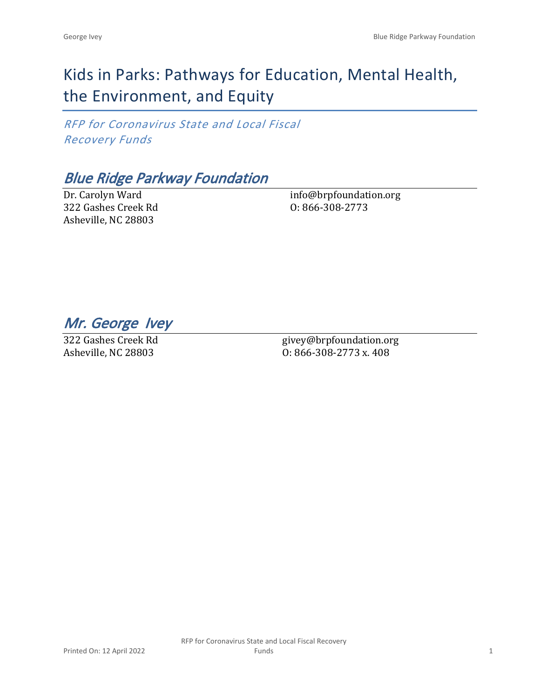# Kids in Parks: Pathways for Education, Mental Health, the Environment, and Equity

*RFP for Coronavirus State and Local Fiscal Recovery Funds*

*Blue Ridge Parkway Foundation*

Dr. Carolyn Ward 322 Gashes Creek Rd Asheville, NC 28803

info@brpfoundation.org O: 866-308-2773

*Mr. George Ivey* 

322 Gashes Creek Rd Asheville, NC 28803

givey@brpfoundation.org O: 866-308-2773 x. 408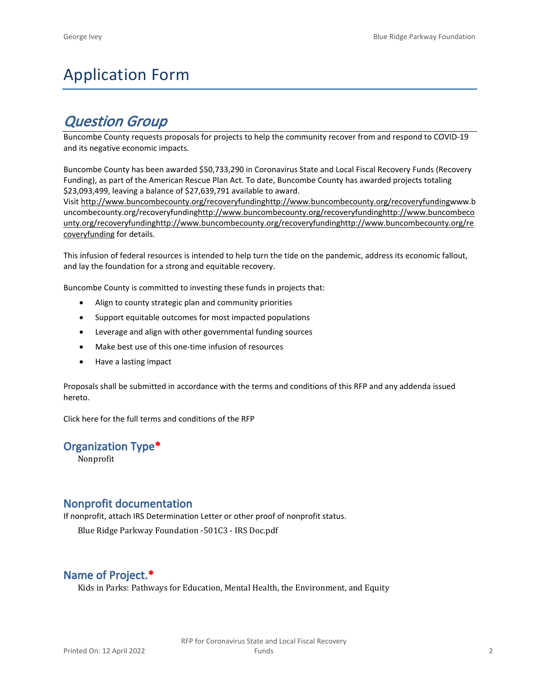# Application Form

# *Question Group*

Buncombe County requests proposals for projects to help the community recover from and respond to COVID-19 and its negative economic impacts.

Buncombe County has been awarded \$50,733,290 in Coronavirus State and Local Fiscal Recovery Funds (Recovery Funding), as part of the American Rescue Plan Act. To date, Buncombe County has awarded projects totaling \$23,093,499, leaving a balance of \$27,639,791 available to award.

Visit [http://www.buncombecounty.org/recoveryfundinghttp://www.buncombecounty.org/recoveryfundingwww.b](http://www.buncombecounty.org/recoveryfunding) [uncombecounty.org/recoveryfundinghttp://www.buncombecounty.org/recoveryfundinghttp://www.buncombeco](http://www.buncombecounty.org/recoveryfunding) [unty.org/recoveryfundinghttp://www.buncombecounty.org/recoveryfundinghttp://www.buncombecounty.org/re](http://www.buncombecounty.org/recoveryfunding) [coveryfunding](http://www.buncombecounty.org/recoveryfunding) for details.

This infusion of federal resources is intended to help turn the tide on the pandemic, address its economic fallout, and lay the foundation for a strong and equitable recovery.

Buncombe County is committed to investing these funds in projects that:

- Align to county strategic plan and community priorities
- Support equitable outcomes for most impacted populations
- Leverage and align with other governmental funding sources
- Make best use of this one-time infusion of resources
- Have a lasting impact

Proposals shall be submitted in accordance with the terms and conditions of this RFP and any addenda issued hereto.

Click [here](https://www.buncombecounty.org/common/purchasing/Buncombe%20Recovery%20Funding%20RFP%202022.pdf) for the full terms and conditions of the RFP

### **Organization Type\***

Nonprofit

## **Nonprofit documentation**

If nonprofit, attach IRS Determination Letter or other proof of nonprofit status.

Blue Ridge Parkway Foundation -501C3 - IRS Doc.pdf

# **Name of Project.\***

Kids in Parks: Pathways for Education, Mental Health, the Environment, and Equity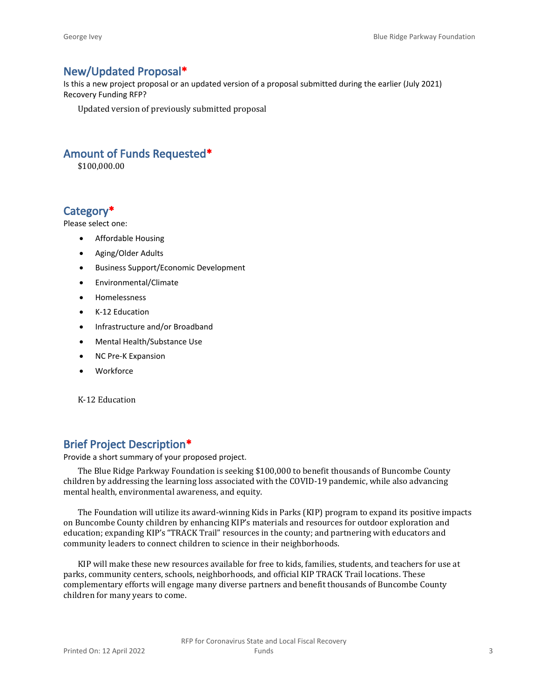# **New/Updated Proposal\***

Is this a new project proposal or an updated version of a proposal submitted during the earlier (July 2021) Recovery Funding RFP?

Updated version of previously submitted proposal

# **Amount of Funds Requested\***

\$100,000.00

# **Category\***

Please select one:

- Affordable Housing
- Aging/Older Adults
- Business Support/Economic Development
- Environmental/Climate
- Homelessness
- K-12 Education
- Infrastructure and/or Broadband
- Mental Health/Substance Use
- NC Pre-K Expansion
- Workforce

K-12 Education

# **Brief Project Description\***

Provide a short summary of your proposed project.

The Blue Ridge Parkway Foundation is seeking \$100,000 to benefit thousands of Buncombe County children by addressing the learning loss associated with the COVID-19 pandemic, while also advancing mental health, environmental awareness, and equity.

The Foundation will utilize its award-winning Kids in Parks (KIP) program to expand its positive impacts on Buncombe County children by enhancing KIP's materials and resources for outdoor exploration and education; expanding KIP's "TRACK Trail" resources in the county; and partnering with educators and community leaders to connect children to science in their neighborhoods.

KIP will make these new resources available for free to kids, families, students, and teachers for use at parks, community centers, schools, neighborhoods, and official KIP TRACK Trail locations. These complementary efforts will engage many diverse partners and benefit thousands of Buncombe County children for many years to come.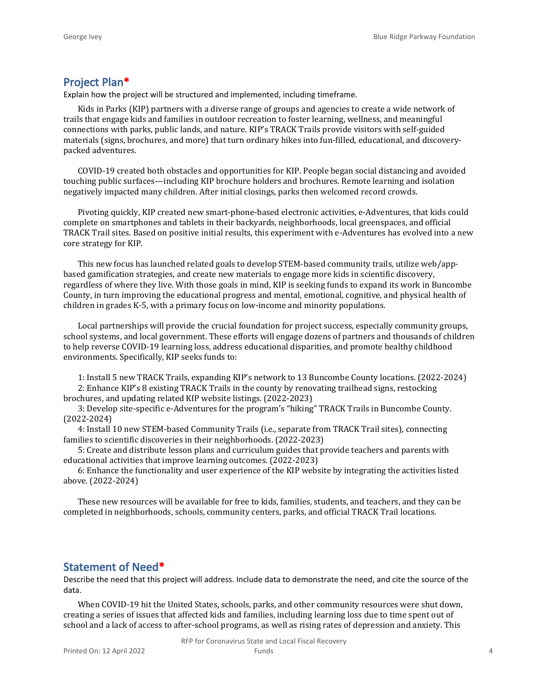## **Project Plan\***

Explain how the project will be structured and implemented, including timeframe.

Kids in Parks (KIP) partners with a diverse range of groups and agencies to create a wide network of trails that engage kids and families in outdoor recreation to foster learning, wellness, and meaningful connections with parks, public lands, and nature. KIP's TRACK Trails provide visitors with self-guided materials (signs, brochures, and more) that turn ordinary hikes into fun-filled, educational, and discoverypacked adventures.

COVID-19 created both obstacles and opportunities for KIP. People began social distancing and avoided touching public surfaces—including KIP brochure holders and brochures. Remote learning and isolation negatively impacted many children. After initial closings, parks then welcomed record crowds.

Pivoting quickly, KIP created new smart-phone-based electronic activities, e-Adventures, that kids could complete on smartphones and tablets in their backyards, neighborhoods, local greenspaces, and official TRACK Trail sites. Based on positive initial results, this experiment with e-Adventures has evolved into a new core strategy for KIP.

This new focus has launched related goals to develop STEM-based community trails, utilize web/appbased gamification strategies, and create new materials to engage more kids in scientific discovery, regardless of where they live. With those goals in mind, KIP is seeking funds to expand its work in Buncombe County, in turn improving the educational progress and mental, emotional, cognitive, and physical health of children in grades K-5, with a primary focus on low-income and minority populations.

Local partnerships will provide the crucial foundation for project success, especially community groups, school systems, and local government. These efforts will engage dozens of partners and thousands of children to help reverse COVID-19 learning loss, address educational disparities, and promote healthy childhood environments. Specifically, KIP seeks funds to:

1: Install 5 new TRACK Trails, expanding KIP's network to 13 Buncombe County locations. (2022-2024)

2: Enhance KIP's 8 existing TRACK Trails in the county by renovating trailhead signs, restocking brochures, and updating related KIP website listings. (2022-2023)

3: Develop site-specific e-Adventures for the program's "hiking" TRACK Trails in Buncombe County. (2022-2024)

4: Install 10 new STEM-based Community Trails (i.e., separate from TRACK Trail sites), connecting families to scientific discoveries in their neighborhoods. (2022-2023)

5: Create and distribute lesson plans and curriculum guides that provide teachers and parents with educational activities that improve learning outcomes. (2022-2023)

6: Enhance the functionality and user experience of the KIP website by integrating the activities listed above. (2022-2024)

These new resources will be available for free to kids, families, students, and teachers, and they can be completed in neighborhoods, schools, community centers, parks, and official TRACK Trail locations.

### **Statement of Need\***

Describe the need that this project will address. Include data to demonstrate the need, and cite the source of the data.

When COVID-19 hit the United States, schools, parks, and other community resources were shut down, creating a series of issues that affected kids and families, including learning loss due to time spent out of school and a lack of access to after-school programs, as well as rising rates of depression and anxiety. This

RFP for Coronavirus State and Local Fiscal Recovery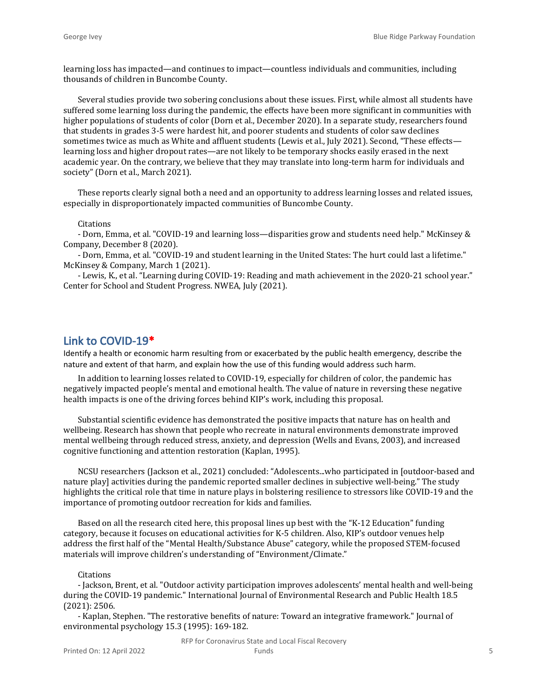learning loss has impacted—and continues to impact—countless individuals and communities, including thousands of children in Buncombe County.

Several studies provide two sobering conclusions about these issues. First, while almost all students have suffered some learning loss during the pandemic, the effects have been more significant in communities with higher populations of students of color (Dorn et al., December 2020). In a separate study, researchers found that students in grades 3-5 were hardest hit, and poorer students and students of color saw declines sometimes twice as much as White and affluent students (Lewis et al., July 2021). Second, "These effectslearning loss and higher dropout rates—are not likely to be temporary shocks easily erased in the next academic year. On the contrary, we believe that they may translate into long-term harm for individuals and society" (Dorn et al., March 2021).

These reports clearly signal both a need and an opportunity to address learning losses and related issues, especially in disproportionately impacted communities of Buncombe County.

#### Citations

- Dorn, Emma, et al. "COVID-19 and learning loss—disparities grow and students need help." McKinsey & Company, December 8 (2020).

- Dorn, Emma, et al. "COVID-19 and student learning in the United States: The hurt could last a lifetime." McKinsey & Company, March 1 (2021).

- Lewis, K., et al. "Learning during COVID-19: Reading and math achievement in the 2020-21 school year." Center for School and Student Progress. NWEA, July (2021).

### **Link to COVID-19\***

Identify a health or economic harm resulting from or exacerbated by the public health emergency, describe the nature and extent of that harm, and explain how the use of this funding would address such harm.

In addition to learning losses related to COVID-19, especially for children of color, the pandemic has negatively impacted people's mental and emotional health. The value of nature in reversing these negative health impacts is one of the driving forces behind KIP's work, including this proposal.

Substantial scientific evidence has demonstrated the positive impacts that nature has on health and wellbeing. Research has shown that people who recreate in natural environments demonstrate improved mental wellbeing through reduced stress, anxiety, and depression (Wells and Evans, 2003), and increased cognitive functioning and attention restoration (Kaplan, 1995).

NCSU researchers (Jackson et al., 2021) concluded: "Adolescents...who participated in [outdoor-based and nature play] activities during the pandemic reported smaller declines in subjective well-being." The study highlights the critical role that time in nature plays in bolstering resilience to stressors like COVID-19 and the importance of promoting outdoor recreation for kids and families.

Based on all the research cited here, this proposal lines up best with the "K-12 Education" funding category, because it focuses on educational activities for K-5 children. Also, KIP's outdoor venues help address the first half of the "Mental Health/Substance Abuse" category, while the proposed STEM-focused materials will improve children's understanding of "Environment/Climate."

#### **Citations**

- Jackson, Brent, et al. "Outdoor activity participation improves adolescents' mental health and well-being during the COVID-19 pandemic." International Journal of Environmental Research and Public Health 18.5 (2021): 2506.

- Kaplan, Stephen. "The restorative benefits of nature: Toward an integrative framework." Journal of environmental psychology 15.3 (1995): 169-182.

RFP for Coronavirus State and Local Fiscal Recovery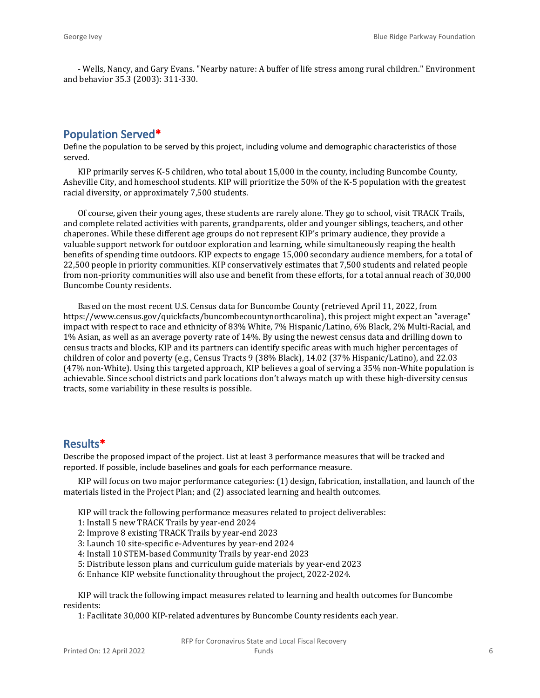- Wells, Nancy, and Gary Evans. "Nearby nature: A buffer of life stress among rural children." Environment and behavior 35.3 (2003): 311-330.

# **Population Served\***

Define the population to be served by this project, including volume and demographic characteristics of those served.

KIP primarily serves K-5 children, who total about 15,000 in the county, including Buncombe County, Asheville City, and homeschool students. KIP will prioritize the 50% of the K-5 population with the greatest racial diversity, or approximately 7,500 students.

Of course, given their young ages, these students are rarely alone. They go to school, visit TRACK Trails, and complete related activities with parents, grandparents, older and younger siblings, teachers, and other chaperones. While these different age groups do not represent KIP's primary audience, they provide a valuable support network for outdoor exploration and learning, while simultaneously reaping the health benefits of spending time outdoors. KIP expects to engage 15,000 secondary audience members, for a total of 22,500 people in priority communities. KIP conservatively estimates that 7,500 students and related people from non-priority communities will also use and benefit from these efforts, for a total annual reach of 30,000 Buncombe County residents.

Based on the most recent U.S. Census data for Buncombe County (retrieved April 11, 2022, from https://www.census.gov/quickfacts/buncombecountynorthcarolina), this project might expect an "average" impact with respect to race and ethnicity of 83% White, 7% Hispanic/Latino, 6% Black, 2% Multi-Racial, and 1% Asian, as well as an average poverty rate of 14%. By using the newest census data and drilling down to census tracts and blocks, KIP and its partners can identify specific areas with much higher percentages of children of color and poverty (e.g., Census Tracts 9 (38% Black), 14.02 (37% Hispanic/Latino), and 22.03 (47% non-White). Using this targeted approach, KIP believes a goal of serving a 35% non-White population is achievable. Since school districts and park locations don't always match up with these high-diversity census tracts, some variability in these results is possible.

## **Results\***

Describe the proposed impact of the project. List at least 3 performance measures that will be tracked and reported. If possible, include baselines and goals for each performance measure.

KIP will focus on two major performance categories: (1) design, fabrication, installation, and launch of the materials listed in the Project Plan; and (2) associated learning and health outcomes.

- KIP will track the following performance measures related to project deliverables:
- 1: Install 5 new TRACK Trails by year-end 2024
- 2: Improve 8 existing TRACK Trails by year-end 2023
- 3: Launch 10 site-specific e-Adventures by year-end 2024
- 4: Install 10 STEM-based Community Trails by year-end 2023
- 5: Distribute lesson plans and curriculum guide materials by year-end 2023
- 6: Enhance KIP website functionality throughout the project, 2022-2024.

KIP will track the following impact measures related to learning and health outcomes for Buncombe residents:

1: Facilitate 30,000 KIP-related adventures by Buncombe County residents each year.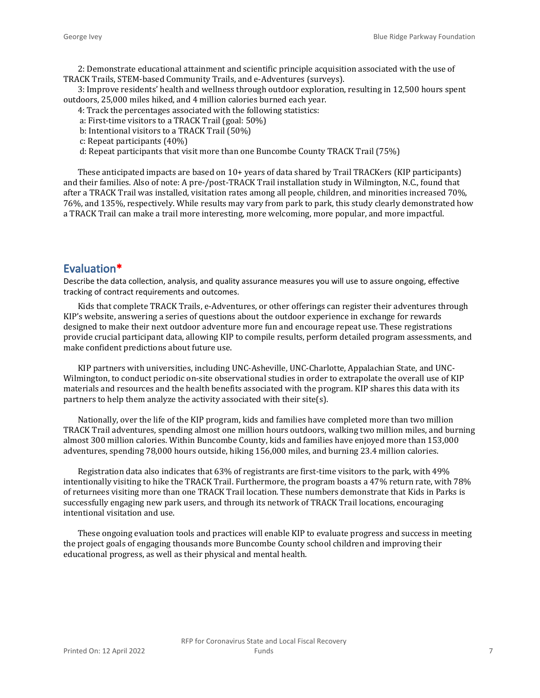2: Demonstrate educational attainment and scientific principle acquisition associated with the use of TRACK Trails, STEM-based Community Trails, and e-Adventures (surveys).

3: Improve residents' health and wellness through outdoor exploration, resulting in 12,500 hours spent outdoors, 25,000 miles hiked, and 4 million calories burned each year.

4: Track the percentages associated with the following statistics:

a: First-time visitors to a TRACK Trail (goal: 50%)

- b: Intentional visitors to a TRACK Trail (50%)
- c: Repeat participants (40%)

d: Repeat participants that visit more than one Buncombe County TRACK Trail (75%)

These anticipated impacts are based on 10+ years of data shared by Trail TRACKers (KIP participants) and their families. Also of note: A pre-/post-TRACK Trail installation study in Wilmington, N.C., found that after a TRACK Trail was installed, visitation rates among all people, children, and minorities increased 70%, 76%, and 135%, respectively. While results may vary from park to park, this study clearly demonstrated how a TRACK Trail can make a trail more interesting, more welcoming, more popular, and more impactful.

# **Evaluation\***

Describe the data collection, analysis, and quality assurance measures you will use to assure ongoing, effective tracking of contract requirements and outcomes.

Kids that complete TRACK Trails, e-Adventures, or other offerings can register their adventures through KIP's website, answering a series of questions about the outdoor experience in exchange for rewards designed to make their next outdoor adventure more fun and encourage repeat use. These registrations provide crucial participant data, allowing KIP to compile results, perform detailed program assessments, and make confident predictions about future use.

KIP partners with universities, including UNC-Asheville, UNC-Charlotte, Appalachian State, and UNC-Wilmington, to conduct periodic on-site observational studies in order to extrapolate the overall use of KIP materials and resources and the health benefits associated with the program. KIP shares this data with its partners to help them analyze the activity associated with their site(s).

Nationally, over the life of the KIP program, kids and families have completed more than two million TRACK Trail adventures, spending almost one million hours outdoors, walking two million miles, and burning almost 300 million calories. Within Buncombe County, kids and families have enjoyed more than 153,000 adventures, spending 78,000 hours outside, hiking 156,000 miles, and burning 23.4 million calories.

Registration data also indicates that 63% of registrants are first-time visitors to the park, with 49% intentionally visiting to hike the TRACK Trail. Furthermore, the program boasts a 47% return rate, with 78% of returnees visiting more than one TRACK Trail location. These numbers demonstrate that Kids in Parks is successfully engaging new park users, and through its network of TRACK Trail locations, encouraging intentional visitation and use.

These ongoing evaluation tools and practices will enable KIP to evaluate progress and success in meeting the project goals of engaging thousands more Buncombe County school children and improving their educational progress, as well as their physical and mental health.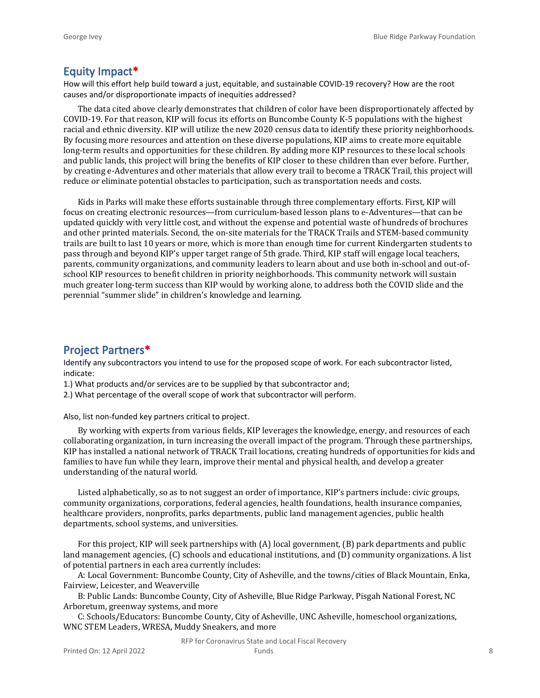### **Equity Impact\***

How will this effort help build toward a just, equitable, and sustainable COVID-19 recovery? How are the root causes and/or disproportionate impacts of inequities addressed?

The data cited above clearly demonstrates that children of color have been disproportionately affected by COVID-19. For that reason, KIP will focus its efforts on Buncombe County K-5 populations with the highest racial and ethnic diversity. KIP will utilize the new 2020 census data to identify these priority neighborhoods. By focusing more resources and attention on these diverse populations, KIP aims to create more equitable long-term results and opportunities for these children. By adding more KIP resources to these local schools and public lands, this project will bring the benefits of KIP closer to these children than ever before. Further, by creating e-Adventures and other materials that allow every trail to become a TRACK Trail, this project will reduce or eliminate potential obstacles to participation, such as transportation needs and costs.

Kids in Parks will make these efforts sustainable through three complementary efforts. First, KIP will focus on creating electronic resources—from curriculum-based lesson plans to e-Adventures—that can be updated quickly with very little cost, and without the expense and potential waste of hundreds of brochures and other printed materials. Second, the on-site materials for the TRACK Trails and STEM-based community trails are built to last 10 years or more, which is more than enough time for current Kindergarten students to pass through and beyond KIP's upper target range of 5th grade. Third, KIP staff will engage local teachers, parents, community organizations, and community leaders to learn about and use both in-school and out-ofschool KIP resources to benefit children in priority neighborhoods. This community network will sustain much greater long-term success than KIP would by working alone, to address both the COVID slide and the perennial "summer slide" in children's knowledge and learning.

### **Project Partners\***

Identify any subcontractors you intend to use for the proposed scope of work. For each subcontractor listed, indicate:

1.) What products and/or services are to be supplied by that subcontractor and;

2.) What percentage of the overall scope of work that subcontractor will perform.

Also, list non-funded key partners critical to project.

By working with experts from various fields, KIP leverages the knowledge, energy, and resources of each collaborating organization, in turn increasing the overall impact of the program. Through these partnerships, KIP has installed a national network of TRACK Trail locations, creating hundreds of opportunities for kids and families to have fun while they learn, improve their mental and physical health, and develop a greater understanding of the natural world.

Listed alphabetically, so as to not suggest an order of importance, KIP's partners include: civic groups, community organizations, corporations, federal agencies, health foundations, health insurance companies, healthcare providers, nonprofits, parks departments, public land management agencies, public health departments, school systems, and universities.

For this project, KIP will seek partnerships with (A) local government, (B) park departments and public land management agencies, (C) schools and educational institutions, and (D) community organizations. A list of potential partners in each area currently includes:

A: Local Government: Buncombe County, City of Asheville, and the towns/cities of Black Mountain, Enka, Fairview, Leicester, and Weaverville

B: Public Lands: Buncombe County, City of Asheville, Blue Ridge Parkway, Pisgah National Forest, NC Arboretum, greenway systems, and more

C: Schools/Educators: Buncombe County, City of Asheville, UNC Asheville, homeschool organizations, WNC STEM Leaders, WRESA, Muddy Sneakers, and more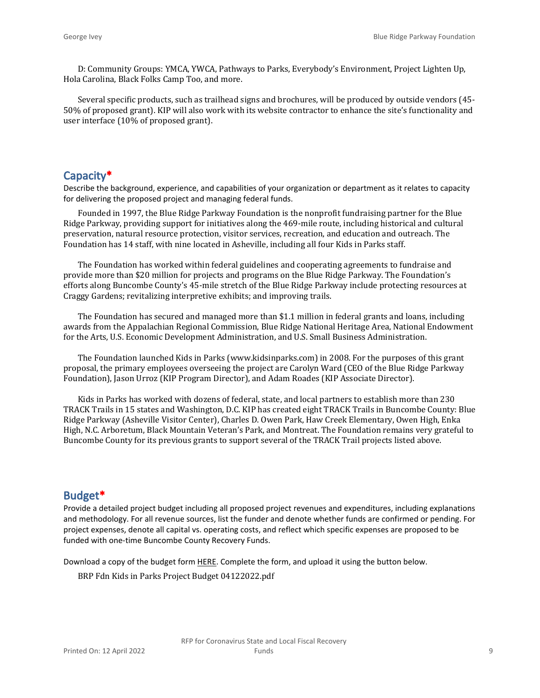D: Community Groups: YMCA, YWCA, Pathways to Parks, Everybody's Environment, Project Lighten Up, Hola Carolina, Black Folks Camp Too, and more.

Several specific products, such as trailhead signs and brochures, will be produced by outside vendors (45- 50% of proposed grant). KIP will also work with its website contractor to enhance the site's functionality and user interface (10% of proposed grant).

### **Capacity\***

Describe the background, experience, and capabilities of your organization or department as it relates to capacity for delivering the proposed project and managing federal funds.

Founded in 1997, the Blue Ridge Parkway Foundation is the nonprofit fundraising partner for the Blue Ridge Parkway, providing support for initiatives along the 469-mile route, including historical and cultural preservation, natural resource protection, visitor services, recreation, and education and outreach. The Foundation has 14 staff, with nine located in Asheville, including all four Kids in Parks staff.

The Foundation has worked within federal guidelines and cooperating agreements to fundraise and provide more than \$20 million for projects and programs on the Blue Ridge Parkway. The Foundation's efforts along Buncombe County's 45-mile stretch of the Blue Ridge Parkway include protecting resources at Craggy Gardens; revitalizing interpretive exhibits; and improving trails.

The Foundation has secured and managed more than \$1.1 million in federal grants and loans, including awards from the Appalachian Regional Commission, Blue Ridge National Heritage Area, National Endowment for the Arts, U.S. Economic Development Administration, and U.S. Small Business Administration.

The Foundation launched Kids in Parks (www.kidsinparks.com) in 2008. For the purposes of this grant proposal, the primary employees overseeing the project are Carolyn Ward (CEO of the Blue Ridge Parkway Foundation), Jason Urroz (KIP Program Director), and Adam Roades (KIP Associate Director).

Kids in Parks has worked with dozens of federal, state, and local partners to establish more than 230 TRACK Trails in 15 states and Washington, D.C. KIP has created eight TRACK Trails in Buncombe County: Blue Ridge Parkway (Asheville Visitor Center), Charles D. Owen Park, Haw Creek Elementary, Owen High, Enka High, N.C. Arboretum, Black Mountain Veteran's Park, and Montreat. The Foundation remains very grateful to Buncombe County for its previous grants to support several of the TRACK Trail projects listed above.

### **Budget\***

Provide a detailed project budget including all proposed project revenues and expenditures, including explanations and methodology. For all revenue sources, list the funder and denote whether funds are confirmed or pending. For project expenses, denote all capital vs. operating costs, and reflect which specific expenses are proposed to be funded with one-time Buncombe County Recovery Funds.

Download a copy of the budget form [HERE](https://buncombecounty.org/common/community-investment/grants/early-childhood-education/Recovery-Funds-budget-template.xlsx). Complete the form, and upload it using the button below.

BRP Fdn Kids in Parks Project Budget 04122022.pdf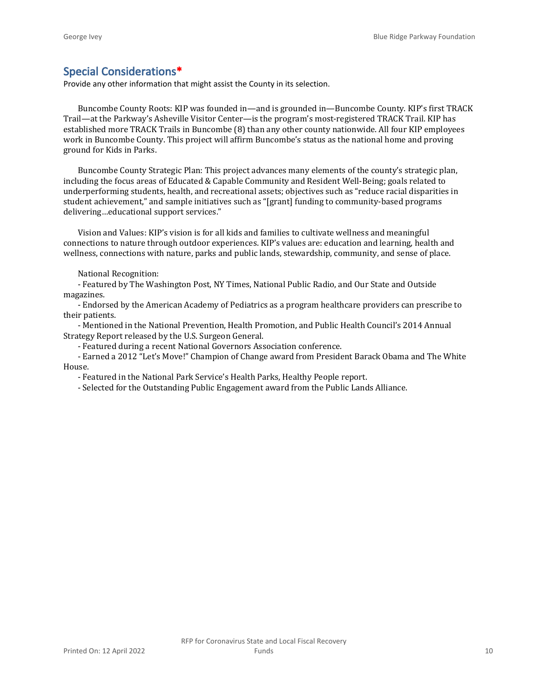## **Special Considerations\***

Provide any other information that might assist the County in its selection.

Buncombe County Roots: KIP was founded in—and is grounded in—Buncombe County. KIP's first TRACK Trail—at the Parkway's Asheville Visitor Center—is the program's most-registered TRACK Trail. KIP has established more TRACK Trails in Buncombe (8) than any other county nationwide. All four KIP employees work in Buncombe County. This project will affirm Buncombe's status as the national home and proving ground for Kids in Parks.

Buncombe County Strategic Plan: This project advances many elements of the county's strategic plan, including the focus areas of Educated & Capable Community and Resident Well-Being; goals related to underperforming students, health, and recreational assets; objectives such as "reduce racial disparities in student achievement," and sample initiatives such as "[grant] funding to community-based programs delivering…educational support services."

Vision and Values: KIP's vision is for all kids and families to cultivate wellness and meaningful connections to nature through outdoor experiences. KIP's values are: education and learning, health and wellness, connections with nature, parks and public lands, stewardship, community, and sense of place.

National Recognition:

- Featured by The Washington Post, NY Times, National Public Radio, and Our State and Outside magazines.

- Endorsed by the American Academy of Pediatrics as a program healthcare providers can prescribe to their patients.

- Mentioned in the National Prevention, Health Promotion, and Public Health Council's 2014 Annual Strategy Report released by the U.S. Surgeon General.

- Featured during a recent National Governors Association conference.

- Earned a 2012 "Let's Move!" Champion of Change award from President Barack Obama and The White House.

- Featured in the National Park Service's Health Parks, Healthy People report.

- Selected for the Outstanding Public Engagement award from the Public Lands Alliance.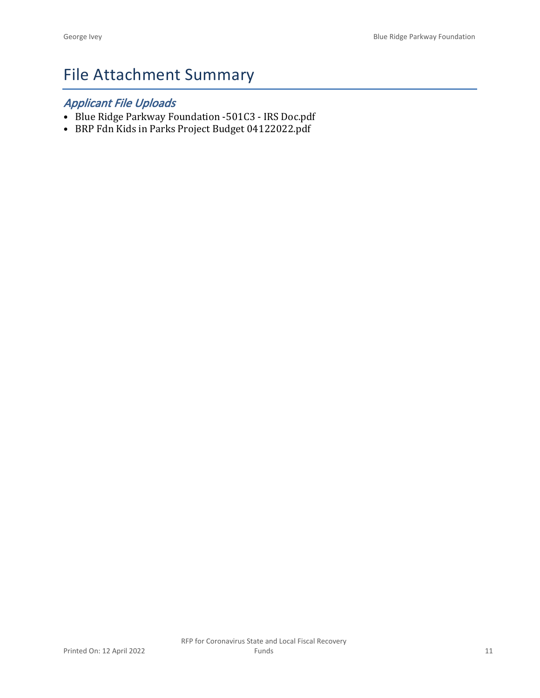# File Attachment Summary

# *Applicant File Uploads*

- Blue Ridge Parkway Foundation -501C3 IRS Doc.pdf
- BRP Fdn Kids in Parks Project Budget 04122022.pdf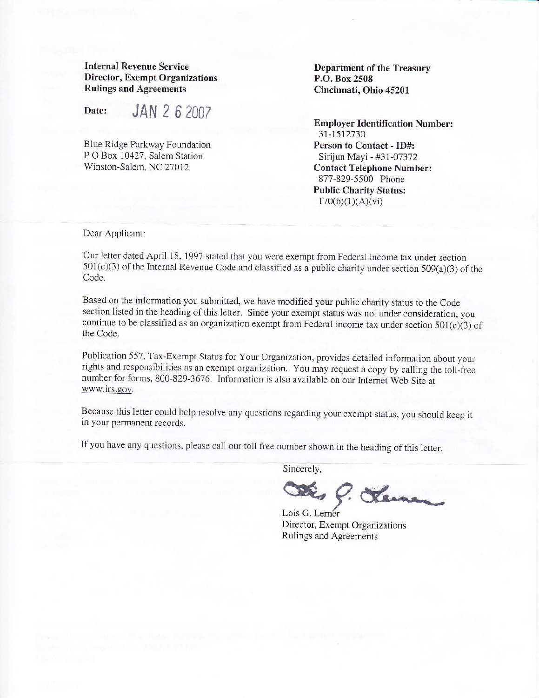Internal Revenue Service Director, Exempt Organizations Rulings and Agreements

Date: **JAN 2 6 2007** 

Blue Ridge Parkway Foundation P O Box 10427, Salem Station Winston-Salem. NC 27012

Department of the Treasury P.O. Box 2508 Cincinnati, Ohio 45201

**Employer Identification Number:** 31-1512730 Person to Contact - ID#: Sirijun Mayi - #31-07372 Contact Telephone Number: 877-829-5500 Phone Public Charity Status:  $170(b)(1)(A)(vi)$ 

Dear Applicant:

Our letter dated April 18, 1997 stated that you were exempt from Federal income tax under section  $501(c)(3)$  of the Internal Revenue Code and classified as a public charity under section  $509(a)(3)$  of the Code.

Based on the information you submitted, we have modified your pubtic charity status to the Code section listed in the heading of this letter. Since your exempt status was not under consideration, you continue to be classified as an organization exempt from Federal income tax under section  $501(c)(3)$  of the Code.

Publication 557, Tax-Exempr Status for your Organization, provides detailed information about your rights and responsibilities as an exempt organization. You may request a copy by calling the toll-free number for forms, 800-829-3676. Information is also available on our Internet Web Site at www.irs.gov.

Because this letter could help resolve any questions regarding your exempt status, you should keep it in your permanent records.

If you have any questions, please call our toll free number shown in the heading of this letter.

Sincerely,

Des C. Tennes

Director, Exempt Organizations Rulings and Agreements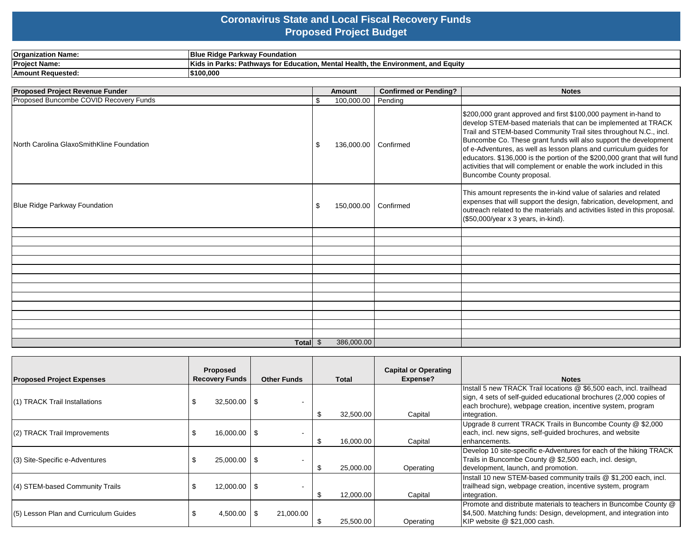### **Coronavirus State and Local Fiscal Recovery Funds Proposed Project Budget**

| <b>Organization Name:</b> | <b>Blue</b><br>. Parkwav Foundation ^<br>e Ridae                                                                   |
|---------------------------|--------------------------------------------------------------------------------------------------------------------|
| <b>Project Name:</b>      | Kids in<br>$^{\circ}$ Mental Health. the Environment. .<br>and Equity<br>↑ Parks: Pathwavs for L.<br>∵Education. . |
| <b>Amount Requested:</b>  | 5100.000                                                                                                           |

| Proposed Project Revenue Funder           |     | <b>Amount</b>        | <b>Confirmed or Pending?</b> | <b>Notes</b>                                                                                                                                                                                                                                                                                                                                                                                                                                                                                                                     |
|-------------------------------------------|-----|----------------------|------------------------------|----------------------------------------------------------------------------------------------------------------------------------------------------------------------------------------------------------------------------------------------------------------------------------------------------------------------------------------------------------------------------------------------------------------------------------------------------------------------------------------------------------------------------------|
| Proposed Buncombe COVID Recovery Funds    | \$  | 100,000.00           | Pending                      |                                                                                                                                                                                                                                                                                                                                                                                                                                                                                                                                  |
| North Carolina GlaxoSmithKline Foundation | -\$ | 136,000.00 Confirmed |                              | \$200,000 grant approved and first \$100,000 payment in-hand to<br>develop STEM-based materials that can be implemented at TRACK<br>Trail and STEM-based Community Trail sites throughout N.C., incl.<br>Buncombe Co. These grant funds will also support the development<br>of e-Adventures, as well as lesson plans and curriculum guides for<br>educators. \$136,000 is the portion of the \$200,000 grant that will fund<br>activities that will complement or enable the work included in this<br>Buncombe County proposal. |
| Blue Ridge Parkway Foundation             |     | 150,000.00           | Confirmed                    | This amount represents the in-kind value of salaries and related<br>expenses that will support the design, fabrication, development, and<br>outreach related to the materials and activities listed in this proposal.<br>(\$50,000/year x 3 years, in-kind).                                                                                                                                                                                                                                                                     |
|                                           |     |                      |                              |                                                                                                                                                                                                                                                                                                                                                                                                                                                                                                                                  |
|                                           |     |                      |                              |                                                                                                                                                                                                                                                                                                                                                                                                                                                                                                                                  |
|                                           |     |                      |                              |                                                                                                                                                                                                                                                                                                                                                                                                                                                                                                                                  |
|                                           |     |                      |                              |                                                                                                                                                                                                                                                                                                                                                                                                                                                                                                                                  |
|                                           |     |                      |                              |                                                                                                                                                                                                                                                                                                                                                                                                                                                                                                                                  |
|                                           |     |                      |                              |                                                                                                                                                                                                                                                                                                                                                                                                                                                                                                                                  |
|                                           |     |                      |                              |                                                                                                                                                                                                                                                                                                                                                                                                                                                                                                                                  |
|                                           |     |                      |                              |                                                                                                                                                                                                                                                                                                                                                                                                                                                                                                                                  |
|                                           |     |                      |                              |                                                                                                                                                                                                                                                                                                                                                                                                                                                                                                                                  |
|                                           |     |                      |                              |                                                                                                                                                                                                                                                                                                                                                                                                                                                                                                                                  |
|                                           |     |                      |                              |                                                                                                                                                                                                                                                                                                                                                                                                                                                                                                                                  |
| Total \$                                  |     | 386,000.00           |                              |                                                                                                                                                                                                                                                                                                                                                                                                                                                                                                                                  |

| <b>Proposed Project Expenses</b>      | Proposed<br><b>Recovery Funds</b> | <b>Other Funds</b>               | <b>Total</b>    | <b>Capital or Operating</b><br>Expense? | <b>Notes</b>                                                                                                                                                                                                             |
|---------------------------------------|-----------------------------------|----------------------------------|-----------------|-----------------------------------------|--------------------------------------------------------------------------------------------------------------------------------------------------------------------------------------------------------------------------|
| (1) TRACK Trail Installations         | 32,500.00                         | l \$                             | 32,500.00<br>-S | Capital                                 | Install 5 new TRACK Trail locations @ \$6,500 each, incl. trailhead<br>sign, 4 sets of self-guided educational brochures (2,000 copies of<br>each brochure), webpage creation, incentive system, program<br>integration. |
| (2) TRACK Trail Improvements          | $16,000.00$ \\$                   | $\overline{\phantom{a}}$         | 16,000.00<br>Æ  | Capital                                 | Upgrade 8 current TRACK Trails in Buncombe County @ \$2,000<br>each, incl. new signs, self-guided brochures, and website<br>enhancements.                                                                                |
| (3) Site-Specific e-Adventures        | $25,000.00$ \\$                   | $\overline{\phantom{a}}$         | 25,000.00       | Operating                               | Develop 10 site-specific e-Adventures for each of the hiking TRACK<br>Trails in Buncombe County @ \$2,500 each, incl. design,<br>development, launch, and promotion.                                                     |
| (4) STEM-based Community Trails       | 12,000.00                         | l \$<br>$\overline{\phantom{a}}$ | 12,000.00       | Capital                                 | Install 10 new STEM-based community trails @ \$1,200 each, incl.<br>trailhead sign, webpage creation, incentive system, program<br>integration.                                                                          |
| (5) Lesson Plan and Curriculum Guides | 4,500.00                          | 21,000.00<br>l \$                | 25,500.00       | Operating                               | Promote and distribute materials to teachers in Buncombe County @<br>\$4,500. Matching funds: Design, development, and integration into<br>KIP website @ \$21,000 cash.                                                  |